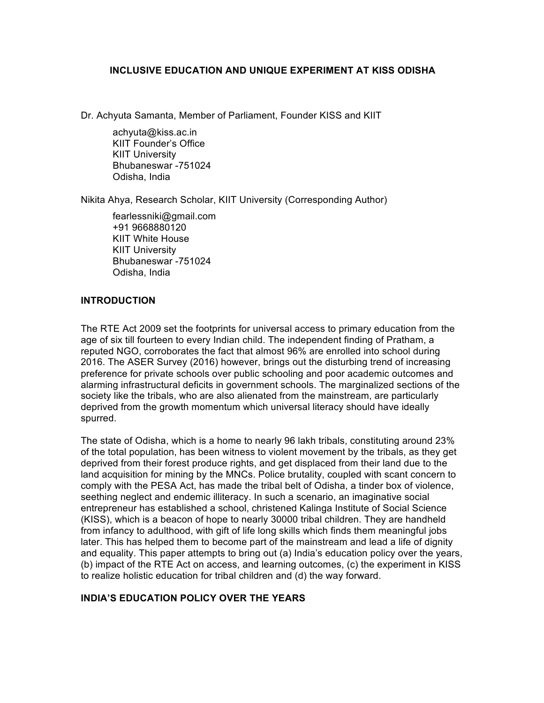### **INCLUSIVE EDUCATION AND UNIQUE EXPERIMENT AT KISS ODISHA**

Dr. Achyuta Samanta, Member of Parliament, Founder KISS and KIIT

achyuta@kiss.ac.in KIIT Founder's Office KIIT University Bhubaneswar -751024 Odisha, India

Nikita Ahya, Research Scholar, KIIT University (Corresponding Author)

fearlessniki@gmail.com +91 9668880120 KIIT White House KIIT University Bhubaneswar -751024 Odisha, India

### **INTRODUCTION**

The RTE Act 2009 set the footprints for universal access to primary education from the age of six till fourteen to every Indian child. The independent finding of Pratham, a reputed NGO, corroborates the fact that almost 96% are enrolled into school during 2016. The ASER Survey (2016) however, brings out the disturbing trend of increasing preference for private schools over public schooling and poor academic outcomes and alarming infrastructural deficits in government schools. The marginalized sections of the society like the tribals, who are also alienated from the mainstream, are particularly deprived from the growth momentum which universal literacy should have ideally spurred.

The state of Odisha, which is a home to nearly 96 lakh tribals, constituting around 23% of the total population, has been witness to violent movement by the tribals, as they get deprived from their forest produce rights, and get displaced from their land due to the land acquisition for mining by the MNCs. Police brutality, coupled with scant concern to comply with the PESA Act, has made the tribal belt of Odisha, a tinder box of violence, seething neglect and endemic illiteracy. In such a scenario, an imaginative social entrepreneur has established a school, christened Kalinga Institute of Social Science (KISS), which is a beacon of hope to nearly 30000 tribal children. They are handheld from infancy to adulthood, with gift of life long skills which finds them meaningful jobs later. This has helped them to become part of the mainstream and lead a life of dignity and equality. This paper attempts to bring out (a) India's education policy over the years, (b) impact of the RTE Act on access, and learning outcomes, (c) the experiment in KISS to realize holistic education for tribal children and (d) the way forward.

## **INDIA'S EDUCATION POLICY OVER THE YEARS**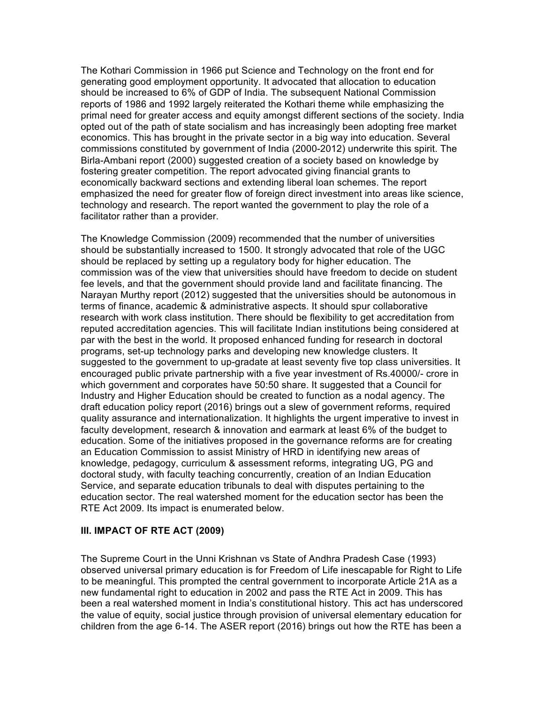The Kothari Commission in 1966 put Science and Technology on the front end for generating good employment opportunity. It advocated that allocation to education should be increased to 6% of GDP of India. The subsequent National Commission reports of 1986 and 1992 largely reiterated the Kothari theme while emphasizing the primal need for greater access and equity amongst different sections of the society. India opted out of the path of state socialism and has increasingly been adopting free market economics. This has brought in the private sector in a big way into education. Several commissions constituted by government of India (2000-2012) underwrite this spirit. The Birla-Ambani report (2000) suggested creation of a society based on knowledge by fostering greater competition. The report advocated giving financial grants to economically backward sections and extending liberal loan schemes. The report emphasized the need for greater flow of foreign direct investment into areas like science, technology and research. The report wanted the government to play the role of a facilitator rather than a provider.

The Knowledge Commission (2009) recommended that the number of universities should be substantially increased to 1500. It strongly advocated that role of the UGC should be replaced by setting up a regulatory body for higher education. The commission was of the view that universities should have freedom to decide on student fee levels, and that the government should provide land and facilitate financing. The Narayan Murthy report (2012) suggested that the universities should be autonomous in terms of finance, academic & administrative aspects. It should spur collaborative research with work class institution. There should be flexibility to get accreditation from reputed accreditation agencies. This will facilitate Indian institutions being considered at par with the best in the world. It proposed enhanced funding for research in doctoral programs, set-up technology parks and developing new knowledge clusters. It suggested to the government to up-gradate at least seventy five top class universities. It encouraged public private partnership with a five year investment of Rs.40000/- crore in which government and corporates have 50:50 share. It suggested that a Council for Industry and Higher Education should be created to function as a nodal agency. The draft education policy report (2016) brings out a slew of government reforms, required quality assurance and internationalization. It highlights the urgent imperative to invest in faculty development, research & innovation and earmark at least 6% of the budget to education. Some of the initiatives proposed in the governance reforms are for creating an Education Commission to assist Ministry of HRD in identifying new areas of knowledge, pedagogy, curriculum & assessment reforms, integrating UG, PG and doctoral study, with faculty teaching concurrently, creation of an Indian Education Service, and separate education tribunals to deal with disputes pertaining to the education sector. The real watershed moment for the education sector has been the RTE Act 2009. Its impact is enumerated below.

#### **III. IMPACT OF RTE ACT (2009)**

The Supreme Court in the Unni Krishnan vs State of Andhra Pradesh Case (1993) observed universal primary education is for Freedom of Life inescapable for Right to Life to be meaningful. This prompted the central government to incorporate Article 21A as a new fundamental right to education in 2002 and pass the RTE Act in 2009. This has been a real watershed moment in India's constitutional history. This act has underscored the value of equity, social justice through provision of universal elementary education for children from the age 6-14. The ASER report (2016) brings out how the RTE has been a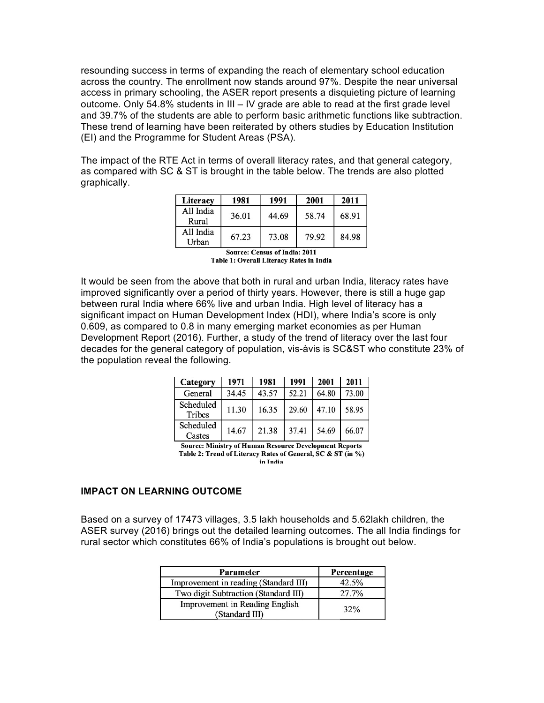resounding success in terms of expanding the reach of elementary school education across the country. The enrollment now stands around 97%. Despite the near universal access in primary schooling, the ASER report presents a disquieting picture of learning outcome. Only 54.8% students in III – IV grade are able to read at the first grade level and 39.7% of the students are able to perform basic arithmetic functions like subtraction. These trend of learning have been reiterated by others studies by Education Institution (EI) and the Programme for Student Areas (PSA).

The impact of the RTE Act in terms of overall literacy rates, and that general category, as compared with SC & ST is brought in the table below. The trends are also plotted graphically.

| Literacy           | 1981  | 1991  | 2001  | 2011  |
|--------------------|-------|-------|-------|-------|
| All India<br>Rural | 36.01 | 44.69 | 58.74 | 68.91 |
| All India<br>Urban | 67.23 | 73.08 | 79.92 | 84.98 |

Source: Census of India: 2011 Table 1: Overall Literacy Rates in India

It would be seen from the above that both in rural and urban India, literacy rates have improved significantly over a period of thirty years. However, there is still a huge gap between rural India where 66% live and urban India. High level of literacy has a significant impact on Human Development Index (HDI), where India's score is only 0.609, as compared to 0.8 in many emerging market economies as per Human Development Report (2016). Further, a study of the trend of literacy over the last four decades for the general category of population, vis-àvis is SC&ST who constitute 23% of the population reveal the following.

| Category            | 1971  | 1981  | 1991  | 2001  | 2011  |
|---------------------|-------|-------|-------|-------|-------|
| General             | 34.45 | 43.57 | 52.21 | 64.80 | 73.00 |
| Scheduled<br>Tribes | 11.30 | 16.35 | 29.60 | 47.10 | 58.95 |
| Scheduled<br>Castes | 14.67 | 21.38 | 37.41 | 54.69 | 66.07 |

**Source: Ministry of Human Resource Development Reports** Table 2: Trend of Literacy Rates of General, SC & ST (in %) in India

#### **IMPACT ON LEARNING OUTCOME**

Based on a survey of 17473 villages, 3.5 lakh households and 5.62lakh children, the ASER survey (2016) brings out the detailed learning outcomes. The all India findings for rural sector which constitutes 66% of India's populations is brought out below.

| <b>Parameter</b>                                 | Percentage |
|--------------------------------------------------|------------|
| Improvement in reading (Standard III)            | 42.5%      |
| Two digit Subtraction (Standard III)             | 27.7%      |
| Improvement in Reading English<br>(Standard III) | 32%        |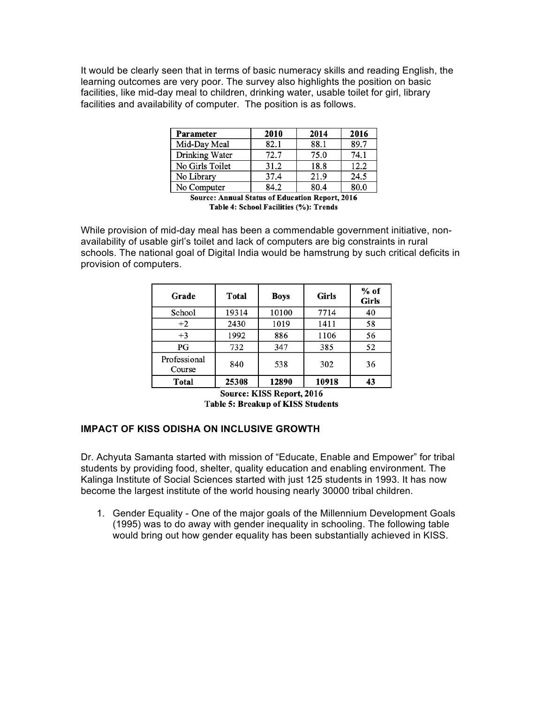It would be clearly seen that in terms of basic numeracy skills and reading English, the learning outcomes are very poor. The survey also highlights the position on basic facilities, like mid-day meal to children, drinking water, usable toilet for girl, library facilities and availability of computer. The position is as follows.

| Parameter             | 2010 | 2014 | 2016 |
|-----------------------|------|------|------|
| Mid-Day Meal          | 82.1 | 88.1 | 89.7 |
| <b>Drinking Water</b> | 72.7 | 75.0 | 74.1 |
| No Girls Toilet       | 31.2 | 18.8 | 12.2 |
| No Library            | 37.4 | 21.9 | 24.5 |
| No Computer           | 84.2 | 80.4 | 80.0 |

Source: Annual Status of Education Report, 2016 Table 4: School Facilities (%): Trends

While provision of mid-day meal has been a commendable government initiative, nonavailability of usable girl's toilet and lack of computers are big constraints in rural schools. The national goal of Digital India would be hamstrung by such critical deficits in provision of computers.

| Grade                  | <b>Total</b> | <b>Boys</b> | <b>Girls</b> | $%$ of<br><b>Girls</b> |
|------------------------|--------------|-------------|--------------|------------------------|
| School                 | 19314        | 10100       | 7714         | 40                     |
| $+2$                   | 2430         | 1019        | 1411         | 58                     |
| $+3$                   | 1992         | 886         | 1106         | 56                     |
| PG                     | 732          | 347         | 385          | 52                     |
| Professional<br>Course | 840          | 538         | 302          | 36                     |
| <b>Total</b>           | 25308        | 12890       | 10918        | 43                     |

Source: KISS Report, 2016 **Table 5: Breakup of KISS Students** 

## **IMPACT OF KISS ODISHA ON INCLUSIVE GROWTH**

Dr. Achyuta Samanta started with mission of "Educate, Enable and Empower" for tribal students by providing food, shelter, quality education and enabling environment. The Kalinga Institute of Social Sciences started with just 125 students in 1993. It has now become the largest institute of the world housing nearly 30000 tribal children.

1. Gender Equality - One of the major goals of the Millennium Development Goals (1995) was to do away with gender inequality in schooling. The following table would bring out how gender equality has been substantially achieved in KISS.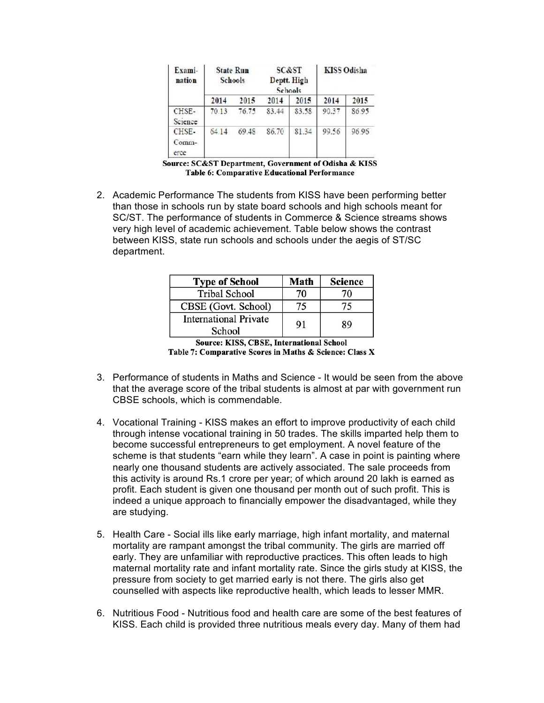| Exami-<br>nation       |       | <b>State Run</b><br><b>Schools</b> |       | <b>SC&amp;ST</b><br>Deptt. High<br>Schools |       | <b>KISS Odisha</b> |
|------------------------|-------|------------------------------------|-------|--------------------------------------------|-------|--------------------|
|                        | 2014  | 2015                               | 2014  | 2015                                       | 2014  | 2015               |
| CHSE-<br>Science       | 70.13 | 76.75                              | 83.44 | 83.58                                      | 90.37 | 86.95              |
| CHSE-<br>Comm-<br>erce | 64.14 | 69.48                              | 86.70 | 81.34                                      | 99.56 | 96.96              |

Source: SC&ST Department, Government of Odisha & KISS Table 6: Comparative Educational Performance

2. Academic Performance The students from KISS have been performing better than those in schools run by state board schools and high schools meant for SC/ST. The performance of students in Commerce & Science streams shows very high level of academic achievement. Table below shows the contrast between KISS, state run schools and schools under the aegis of ST/SC department.

| <b>Type of School</b>                  | Math | <b>Science</b> |
|----------------------------------------|------|----------------|
| <b>Tribal School</b>                   | 70.  | 70             |
| CBSE (Govt. School)                    |      |                |
| <b>International Private</b><br>School | 91   | 89             |

**Source: KISS, CBSE, International School** Table 7: Comparative Scores in Maths & Science: Class X

- 3. Performance of students in Maths and Science It would be seen from the above that the average score of the tribal students is almost at par with government run CBSE schools, which is commendable.
- 4. Vocational Training KISS makes an effort to improve productivity of each child through intense vocational training in 50 trades. The skills imparted help them to become successful entrepreneurs to get employment. A novel feature of the scheme is that students "earn while they learn". A case in point is painting where nearly one thousand students are actively associated. The sale proceeds from this activity is around Rs.1 crore per year; of which around 20 lakh is earned as profit. Each student is given one thousand per month out of such profit. This is indeed a unique approach to financially empower the disadvantaged, while they are studying.
- 5. Health Care Social ills like early marriage, high infant mortality, and maternal mortality are rampant amongst the tribal community. The girls are married off early. They are unfamiliar with reproductive practices. This often leads to high maternal mortality rate and infant mortality rate. Since the girls study at KISS, the pressure from society to get married early is not there. The girls also get counselled with aspects like reproductive health, which leads to lesser MMR.
- 6. Nutritious Food Nutritious food and health care are some of the best features of KISS. Each child is provided three nutritious meals every day. Many of them had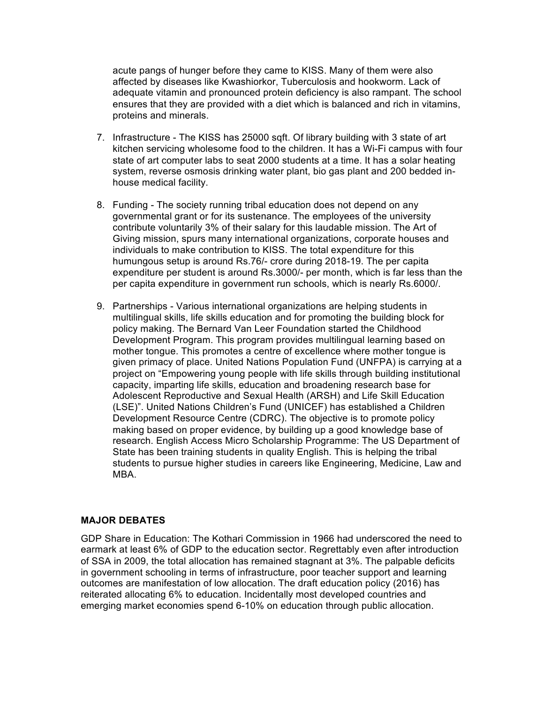acute pangs of hunger before they came to KISS. Many of them were also affected by diseases like Kwashiorkor, Tuberculosis and hookworm. Lack of adequate vitamin and pronounced protein deficiency is also rampant. The school ensures that they are provided with a diet which is balanced and rich in vitamins, proteins and minerals.

- 7. Infrastructure The KISS has 25000 sqft. Of library building with 3 state of art kitchen servicing wholesome food to the children. It has a Wi-Fi campus with four state of art computer labs to seat 2000 students at a time. It has a solar heating system, reverse osmosis drinking water plant, bio gas plant and 200 bedded inhouse medical facility.
- 8. Funding The society running tribal education does not depend on any governmental grant or for its sustenance. The employees of the university contribute voluntarily 3% of their salary for this laudable mission. The Art of Giving mission, spurs many international organizations, corporate houses and individuals to make contribution to KISS. The total expenditure for this humungous setup is around Rs.76/- crore during 2018-19. The per capita expenditure per student is around Rs.3000/- per month, which is far less than the per capita expenditure in government run schools, which is nearly Rs.6000/.
- 9. Partnerships Various international organizations are helping students in multilingual skills, life skills education and for promoting the building block for policy making. The Bernard Van Leer Foundation started the Childhood Development Program. This program provides multilingual learning based on mother tongue. This promotes a centre of excellence where mother tongue is given primacy of place. United Nations Population Fund (UNFPA) is carrying at a project on "Empowering young people with life skills through building institutional capacity, imparting life skills, education and broadening research base for Adolescent Reproductive and Sexual Health (ARSH) and Life Skill Education (LSE)". United Nations Children's Fund (UNICEF) has established a Children Development Resource Centre (CDRC). The objective is to promote policy making based on proper evidence, by building up a good knowledge base of research. English Access Micro Scholarship Programme: The US Department of State has been training students in quality English. This is helping the tribal students to pursue higher studies in careers like Engineering, Medicine, Law and MBA.

## **MAJOR DEBATES**

GDP Share in Education: The Kothari Commission in 1966 had underscored the need to earmark at least 6% of GDP to the education sector. Regrettably even after introduction of SSA in 2009, the total allocation has remained stagnant at 3%. The palpable deficits in government schooling in terms of infrastructure, poor teacher support and learning outcomes are manifestation of low allocation. The draft education policy (2016) has reiterated allocating 6% to education. Incidentally most developed countries and emerging market economies spend 6-10% on education through public allocation.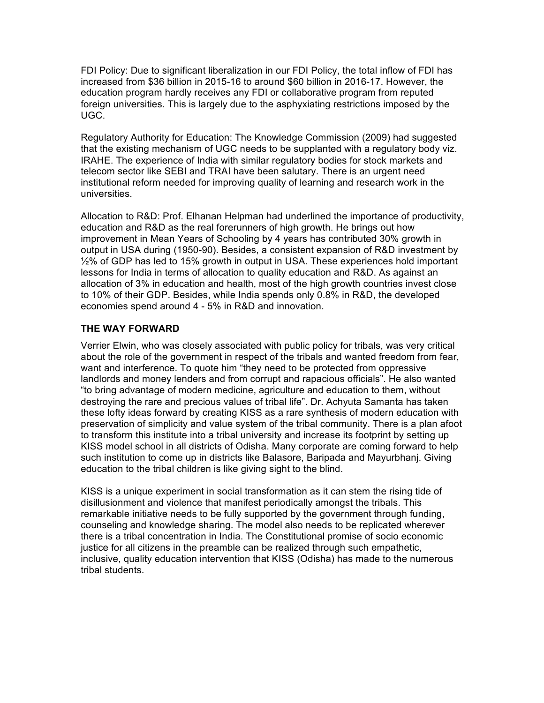FDI Policy: Due to significant liberalization in our FDI Policy, the total inflow of FDI has increased from \$36 billion in 2015-16 to around \$60 billion in 2016-17. However, the education program hardly receives any FDI or collaborative program from reputed foreign universities. This is largely due to the asphyxiating restrictions imposed by the UGC.

Regulatory Authority for Education: The Knowledge Commission (2009) had suggested that the existing mechanism of UGC needs to be supplanted with a regulatory body viz. IRAHE. The experience of India with similar regulatory bodies for stock markets and telecom sector like SEBI and TRAI have been salutary. There is an urgent need institutional reform needed for improving quality of learning and research work in the universities.

Allocation to R&D: Prof. Elhanan Helpman had underlined the importance of productivity, education and R&D as the real forerunners of high growth. He brings out how improvement in Mean Years of Schooling by 4 years has contributed 30% growth in output in USA during (1950-90). Besides, a consistent expansion of R&D investment by ½% of GDP has led to 15% growth in output in USA. These experiences hold important lessons for India in terms of allocation to quality education and R&D. As against an allocation of 3% in education and health, most of the high growth countries invest close to 10% of their GDP. Besides, while India spends only 0.8% in R&D, the developed economies spend around 4 - 5% in R&D and innovation.

# **THE WAY FORWARD**

Verrier Elwin, who was closely associated with public policy for tribals, was very critical about the role of the government in respect of the tribals and wanted freedom from fear, want and interference. To quote him "they need to be protected from oppressive landlords and money lenders and from corrupt and rapacious officials". He also wanted "to bring advantage of modern medicine, agriculture and education to them, without destroying the rare and precious values of tribal life". Dr. Achyuta Samanta has taken these lofty ideas forward by creating KISS as a rare synthesis of modern education with preservation of simplicity and value system of the tribal community. There is a plan afoot to transform this institute into a tribal university and increase its footprint by setting up KISS model school in all districts of Odisha. Many corporate are coming forward to help such institution to come up in districts like Balasore, Baripada and Mayurbhanj. Giving education to the tribal children is like giving sight to the blind.

KISS is a unique experiment in social transformation as it can stem the rising tide of disillusionment and violence that manifest periodically amongst the tribals. This remarkable initiative needs to be fully supported by the government through funding, counseling and knowledge sharing. The model also needs to be replicated wherever there is a tribal concentration in India. The Constitutional promise of socio economic justice for all citizens in the preamble can be realized through such empathetic, inclusive, quality education intervention that KISS (Odisha) has made to the numerous tribal students.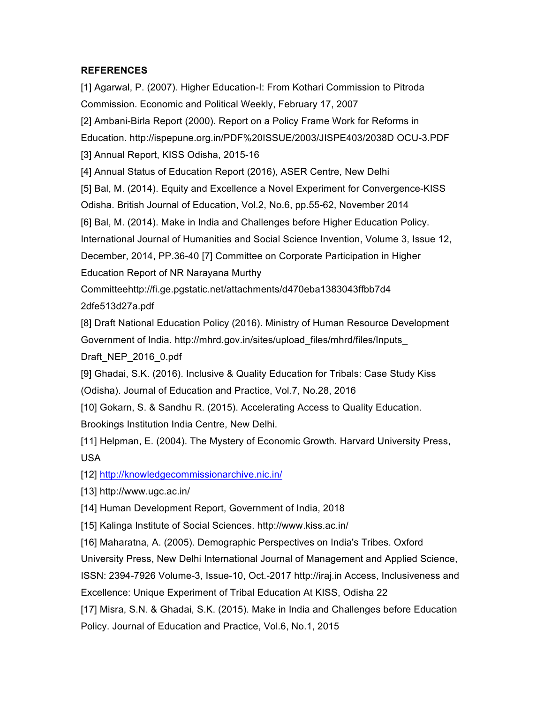# **REFERENCES**

[1] Agarwal, P. (2007). Higher Education-I: From Kothari Commission to Pitroda Commission. Economic and Political Weekly, February 17, 2007 [2] Ambani-Birla Report (2000). Report on a Policy Frame Work for Reforms in Education. http://ispepune.org.in/PDF%20ISSUE/2003/JISPE403/2038D OCU-3.PDF [3] Annual Report, KISS Odisha, 2015-16 [4] Annual Status of Education Report (2016), ASER Centre, New Delhi [5] Bal, M. (2014). Equity and Excellence a Novel Experiment for Convergence-KISS Odisha. British Journal of Education, Vol.2, No.6, pp.55-62, November 2014 [6] Bal, M. (2014). Make in India and Challenges before Higher Education Policy. International Journal of Humanities and Social Science Invention, Volume 3, Issue 12, December, 2014, PP.36-40 [7] Committee on Corporate Participation in Higher Education Report of NR Narayana Murthy Committeehttp://fi.ge.pgstatic.net/attachments/d470eba1383043ffbb7d4 2dfe513d27a.pdf [8] Draft National Education Policy (2016). Ministry of Human Resource Development Government of India. http://mhrd.gov.in/sites/upload\_files/mhrd/files/Inputs\_ Draft\_NEP\_2016\_0.pdf [9] Ghadai, S.K. (2016). Inclusive & Quality Education for Tribals: Case Study Kiss (Odisha). Journal of Education and Practice, Vol.7, No.28, 2016 [10] Gokarn, S. & Sandhu R. (2015). Accelerating Access to Quality Education. Brookings Institution India Centre, New Delhi.

[11] Helpman, E. (2004). The Mystery of Economic Growth. Harvard University Press, USA

[12] http://knowledgecommissionarchive.nic.in/

[13] http://www.ugc.ac.in/

[14] Human Development Report, Government of India, 2018

[15] Kalinga Institute of Social Sciences. http://www.kiss.ac.in/

[16] Maharatna, A. (2005). Demographic Perspectives on India's Tribes. Oxford

University Press, New Delhi International Journal of Management and Applied Science,

ISSN: 2394-7926 Volume-3, Issue-10, Oct.-2017 http://iraj.in Access, Inclusiveness and Excellence: Unique Experiment of Tribal Education At KISS, Odisha 22

[17] Misra, S.N. & Ghadai, S.K. (2015). Make in India and Challenges before Education Policy. Journal of Education and Practice, Vol.6, No.1, 2015